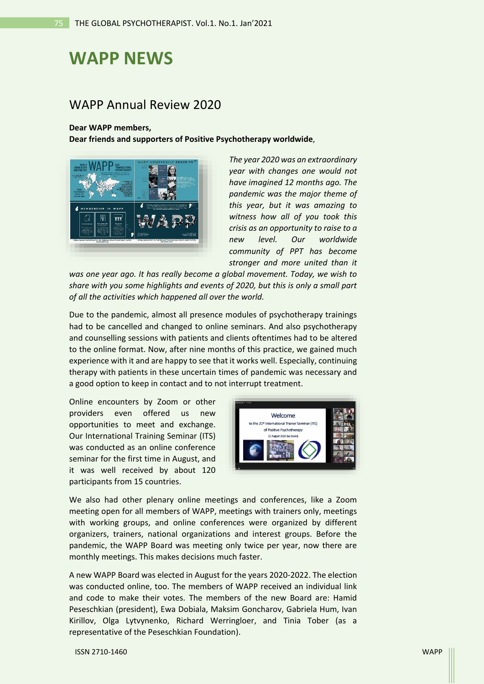## **WAPP NEWS**

## WAPP Annual Review 2020

## **Dear WAPP members,**

**Dear friends and supporters of Positive Psychotherapy worldwide**,



*The year 2020 was an extraordinary year with changes one would not have imagined 12 months ago. The pandemic was the major theme of this year, but it was amazing to witness how all of you took this crisis as an opportunity to raise to a new level. Our worldwide community of PPT has become stronger and more united than it* 

*was one year ago. It has really become a global movement. Today, we wish to share with you some highlights and events of 2020, but this is only a small part of all the activities which happened all over the world.*

Due to the pandemic, almost all presence modules of psychotherapy trainings had to be cancelled and changed to online seminars. And also psychotherapy and counselling sessions with patients and clients oftentimes had to be altered to the online format. Now, after nine months of this practice, we gained much experience with it and are happy to see that it works well. Especially, continuing therapy with patients in these uncertain times of pandemic was necessary and a good option to keep in contact and to not interrupt treatment.

Online encounters by Zoom or other providers even offered us new opportunities to meet and exchange. Our International Training Seminar (ITS) was conducted as an online conference seminar for the first time in August, and it was well received by about 120 participants from 15 countries.



We also had other plenary online meetings and conferences, like a Zoom meeting open for all members of WAPP, meetings with trainers only, meetings with working groups, and online conferences were organized by different organizers, trainers, national organizations and interest groups. Before the pandemic, the WAPP Board was meeting only twice per year, now there are monthly meetings. This makes decisions much faster.

A new WAPP Board was elected in August for the years 2020-2022. The election was conducted online, too. The members of WAPP received an individual link and code to make their votes. The members of the new Board are: Hamid Peseschkian (president), Ewa Dobiala, Maksim Goncharov, Gabriela Hum, Ivan Kirillov, Olga Lytvynenko, Richard Werringloer, and Tinia Tober (as a representative of the Peseschkian Foundation).